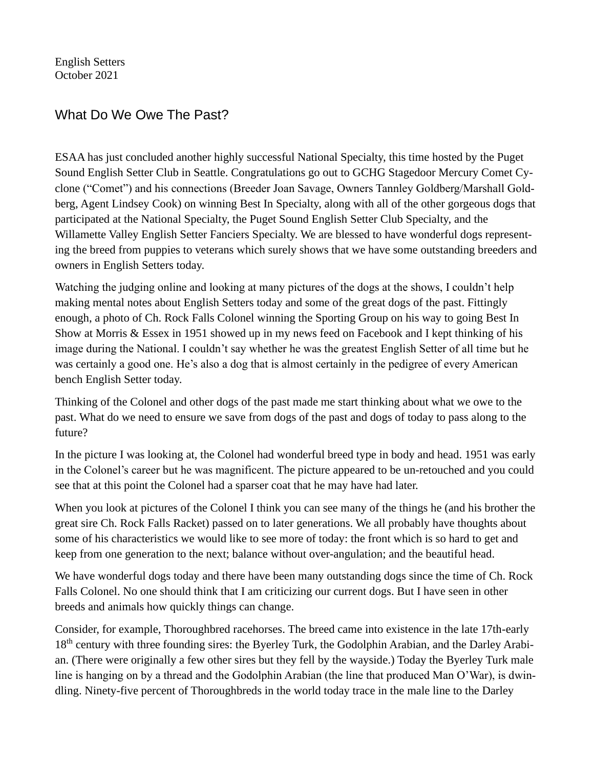English Setters October 2021

## What Do We Owe The Past?

ESAA has just concluded another highly successful National Specialty, this time hosted by the Puget Sound English Setter Club in Seattle. Congratulations go out to GCHG Stagedoor Mercury Comet Cyclone ("Comet") and his connections (Breeder Joan Savage, Owners Tannley Goldberg/Marshall Goldberg, Agent Lindsey Cook) on winning Best In Specialty, along with all of the other gorgeous dogs that participated at the National Specialty, the Puget Sound English Setter Club Specialty, and the Willamette Valley English Setter Fanciers Specialty. We are blessed to have wonderful dogs representing the breed from puppies to veterans which surely shows that we have some outstanding breeders and owners in English Setters today.

Watching the judging online and looking at many pictures of the dogs at the shows, I couldn't help making mental notes about English Setters today and some of the great dogs of the past. Fittingly enough, a photo of Ch. Rock Falls Colonel winning the Sporting Group on his way to going Best In Show at Morris & Essex in 1951 showed up in my news feed on Facebook and I kept thinking of his image during the National. I couldn't say whether he was the greatest English Setter of all time but he was certainly a good one. He's also a dog that is almost certainly in the pedigree of every American bench English Setter today.

Thinking of the Colonel and other dogs of the past made me start thinking about what we owe to the past. What do we need to ensure we save from dogs of the past and dogs of today to pass along to the future?

In the picture I was looking at, the Colonel had wonderful breed type in body and head. 1951 was early in the Colonel's career but he was magnificent. The picture appeared to be un-retouched and you could see that at this point the Colonel had a sparser coat that he may have had later.

When you look at pictures of the Colonel I think you can see many of the things he (and his brother the great sire Ch. Rock Falls Racket) passed on to later generations. We all probably have thoughts about some of his characteristics we would like to see more of today: the front which is so hard to get and keep from one generation to the next; balance without over-angulation; and the beautiful head.

We have wonderful dogs today and there have been many outstanding dogs since the time of Ch. Rock Falls Colonel. No one should think that I am criticizing our current dogs. But I have seen in other breeds and animals how quickly things can change.

Consider, for example, Thoroughbred racehorses. The breed came into existence in the late 17th-early 18<sup>th</sup> century with three founding sires: the Byerley Turk, the Godolphin Arabian, and the Darley Arabian. (There were originally a few other sires but they fell by the wayside.) Today the Byerley Turk male line is hanging on by a thread and the Godolphin Arabian (the line that produced Man O'War), is dwindling. Ninety-five percent of Thoroughbreds in the world today trace in the male line to the Darley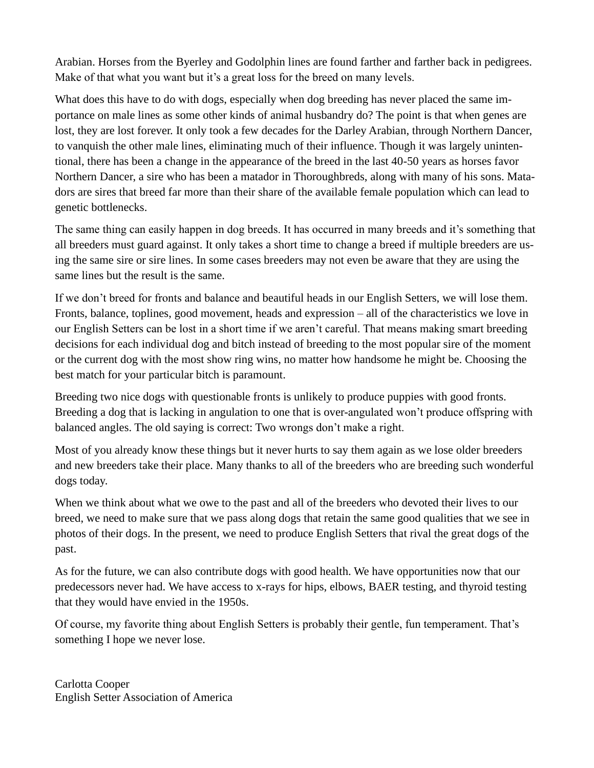Arabian. Horses from the Byerley and Godolphin lines are found farther and farther back in pedigrees. Make of that what you want but it's a great loss for the breed on many levels.

What does this have to do with dogs, especially when dog breeding has never placed the same importance on male lines as some other kinds of animal husbandry do? The point is that when genes are lost, they are lost forever. It only took a few decades for the Darley Arabian, through Northern Dancer, to vanquish the other male lines, eliminating much of their influence. Though it was largely unintentional, there has been a change in the appearance of the breed in the last 40-50 years as horses favor Northern Dancer, a sire who has been a matador in Thoroughbreds, along with many of his sons. Matadors are sires that breed far more than their share of the available female population which can lead to genetic bottlenecks.

The same thing can easily happen in dog breeds. It has occurred in many breeds and it's something that all breeders must guard against. It only takes a short time to change a breed if multiple breeders are using the same sire or sire lines. In some cases breeders may not even be aware that they are using the same lines but the result is the same.

If we don't breed for fronts and balance and beautiful heads in our English Setters, we will lose them. Fronts, balance, toplines, good movement, heads and expression – all of the characteristics we love in our English Setters can be lost in a short time if we aren't careful. That means making smart breeding decisions for each individual dog and bitch instead of breeding to the most popular sire of the moment or the current dog with the most show ring wins, no matter how handsome he might be. Choosing the best match for your particular bitch is paramount.

Breeding two nice dogs with questionable fronts is unlikely to produce puppies with good fronts. Breeding a dog that is lacking in angulation to one that is over-angulated won't produce offspring with balanced angles. The old saying is correct: Two wrongs don't make a right.

Most of you already know these things but it never hurts to say them again as we lose older breeders and new breeders take their place. Many thanks to all of the breeders who are breeding such wonderful dogs today.

When we think about what we owe to the past and all of the breeders who devoted their lives to our breed, we need to make sure that we pass along dogs that retain the same good qualities that we see in photos of their dogs. In the present, we need to produce English Setters that rival the great dogs of the past.

As for the future, we can also contribute dogs with good health. We have opportunities now that our predecessors never had. We have access to x-rays for hips, elbows, BAER testing, and thyroid testing that they would have envied in the 1950s.

Of course, my favorite thing about English Setters is probably their gentle, fun temperament. That's something I hope we never lose.

Carlotta Cooper English Setter Association of America